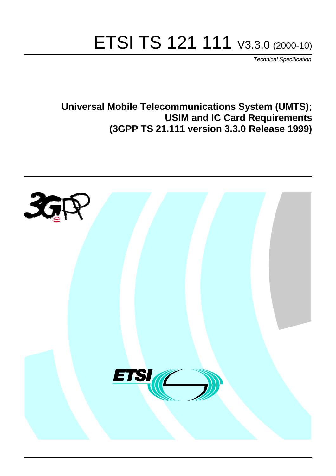# ETSI TS 121 111 V3.3.0 (2000-10)

Technical Specification

**Universal Mobile Telecommunications System (UMTS); USIM and IC Card Requirements (3GPP TS 21.111 version 3.3.0 Release 1999)**

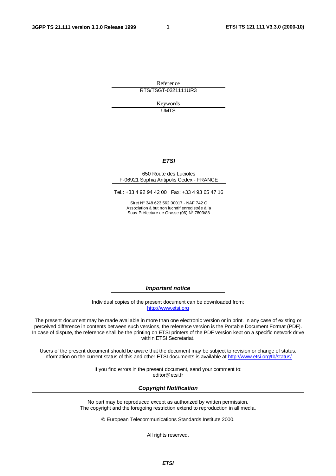**1**

Reference RTS/TSGT-0321111UR3

> Keywords **UMTS**

> > **ETSI**

#### 650 Route des Lucioles F-06921 Sophia Antipolis Cedex - FRANCE

Tel.: +33 4 92 94 42 00 Fax: +33 4 93 65 47 16

Siret N° 348 623 562 00017 - NAF 742 C Association à but non lucratif enregistrée à la Sous-Préfecture de Grasse (06) N° 7803/88

**Important notice**

Individual copies of the present document can be downloaded from: [http://www.etsi.org](http://www.etsi.org/)

The present document may be made available in more than one electronic version or in print. In any case of existing or perceived difference in contents between such versions, the reference version is the Portable Document Format (PDF). In case of dispute, the reference shall be the printing on ETSI printers of the PDF version kept on a specific network drive within ETSI Secretariat.

Users of the present document should be aware that the document may be subject to revision or change of status. Information on the current status of this and other ETSI documents is available at [http://www.etsi.org/tb/status/](http://www.etsi.org/tb/status)

> If you find errors in the present document, send your comment to: <editor@etsi.fr>

#### **Copyright Notification**

No part may be reproduced except as authorized by written permission. The copyright and the foregoing restriction extend to reproduction in all media.

© European Telecommunications Standards Institute 2000.

All rights reserved.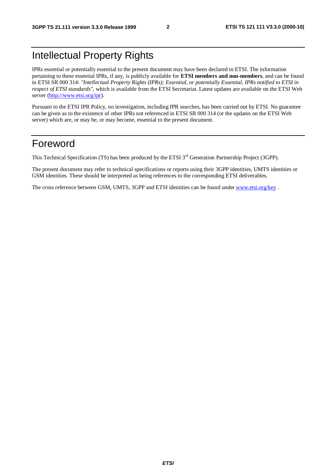### Intellectual Property Rights

IPRs essential or potentially essential to the present document may have been declared to ETSI. The information pertaining to these essential IPRs, if any, is publicly available for **ETSI members and non-members**, and can be found in ETSI SR 000 314: *"Intellectual Property Rights (IPRs); Essential, or potentially Essential, IPRs notified to ETSI in respect of ETSI standards"*, which is available from the ETSI Secretariat. Latest updates are available on the ETSI Web server [\(http://www.etsi.org/ipr](http://www.etsi.org/ipr)).

Pursuant to the ETSI IPR Policy, no investigation, including IPR searches, has been carried out by ETSI. No guarantee can be given as to the existence of other IPRs not referenced in ETSI SR 000 314 (or the updates on the ETSI Web server) which are, or may be, or may become, essential to the present document.

#### Foreword

This Technical Specification (TS) has been produced by the ETSI 3<sup>rd</sup> Generation Partnership Project (3GPP).

The present document may refer to technical specifications or reports using their 3GPP identities, UMTS identities or GSM identities. These should be interpreted as being references to the corresponding ETSI deliverables.

The cross reference between GSM, UMTS, 3GPP and ETSI identities can be found under [www.etsi.org/key](http://www.etsi.org/key) .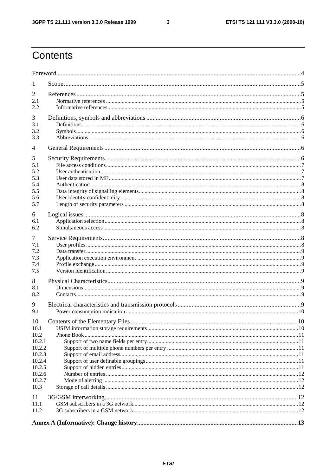# Contents

| 1              |                                  |    |
|----------------|----------------------------------|----|
| 2              |                                  |    |
| 2.1            |                                  |    |
| 2.2            |                                  |    |
| 3              |                                  |    |
| 3.1            |                                  |    |
| 3.2            |                                  |    |
| 3.3            |                                  |    |
| $\overline{4}$ |                                  |    |
| 5              |                                  |    |
| 5.1            |                                  |    |
| 5.2            |                                  |    |
| 5.3            |                                  |    |
| 5.4            |                                  |    |
| 5.5            |                                  |    |
| 5.6            |                                  |    |
| 5.7            |                                  |    |
| 6              |                                  |    |
| 6.1            |                                  |    |
| 6.2            |                                  |    |
| 7              |                                  |    |
| 7.1            |                                  |    |
| 7.2            |                                  |    |
| 7.3            |                                  |    |
| 7.4            |                                  |    |
| 7.5            |                                  |    |
| 8              |                                  |    |
| 8.1            |                                  |    |
| 8.2            |                                  |    |
|                |                                  |    |
| 9              |                                  |    |
| 9.1            |                                  |    |
| 10             | Contents of the Elementary Files | 10 |
| 10.1           |                                  |    |
| 10.2           |                                  |    |
| 10.2.1         |                                  |    |
| 10.2.2         |                                  |    |
| 10.2.3         |                                  |    |
| 10.2.4         |                                  |    |
| 10.2.5         |                                  |    |
| 10.2.6         |                                  |    |
| 10.2.7         |                                  |    |
| 10.3           |                                  |    |
| 11             |                                  |    |
| 11.1           |                                  |    |
| 11.2           |                                  |    |
|                |                                  |    |
|                |                                  |    |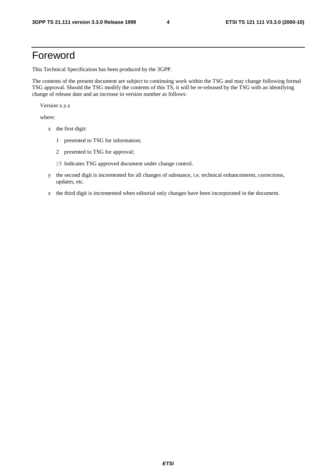#### Foreword

This Technical Specification has been produced by the 3GPP.

The contents of the present document are subject to continuing work within the TSG and may change following formal TSG approval. Should the TSG modify the contents of this TS, it will be re-released by the TSG with an identifying change of release date and an increase in version number as follows:

Version x.y.z

where:

- x the first digit:
	- 1 presented to TSG for information;
	- 2 presented to TSG for approval;
	- $\geq$ 3 Indicates TSG approved document under change control.
- y the second digit is incremented for all changes of substance, i.e. technical enhancements, corrections, updates, etc.
- z the third digit is incremented when editorial only changes have been incorporated in the document.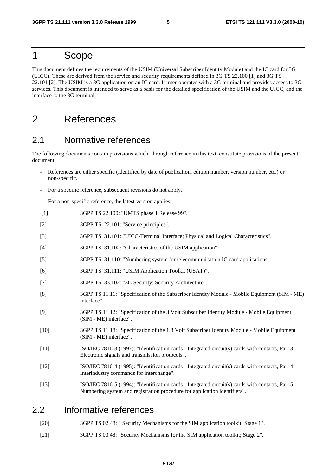#### 1 Scope

This document defines the requirements of the USIM (Universal Subscriber Identity Module) and the IC card for 3G (UICC). These are derived from the service and security requirements defined in 3G TS 22.100 [1] and 3G TS 22.101 [2]. The USIM is a 3G application on an IC card. It inter-operates with a 3G terminal and provides access to 3G services. This document is intended to serve as a basis for the detailed specification of the USIM and the UICC, and the interface to the 3G terminal.

#### 2 References

#### 2.1 Normative references

The following documents contain provisions which, through reference in this text, constitute provisions of the present document.

- References are either specific (identified by date of publication, edition number, version number, etc.) or non-specific.
- For a specific reference, subsequent revisions do not apply.
- For a non-specific reference, the latest version applies.
- [1] 3GPP TS 22.100: "UMTS phase 1 Release 99".
- [2] 3GPP TS 22.101: "Service principles".
- [3] 3GPP TS 31.101: "UICC-Terminal Interface; Physical and Logical Characteristics".
- [4] 3GPP TS 31.102: "Characteristics of the USIM application"
- [5] 3GPP TS 31.110: "Numbering system for telecommunication IC card applications".
- [6] 3GPP TS 31.111: "USIM Application Toolkit (USAT)".
- [7] 3GPP TS 33.102: "3G Security: Security Architecture".
- [8] 3GPP TS 11.11: "Specification of the Subscriber Identity Module Mobile Equipment (SIM ME) interface".
- [9] 3GPP TS 11.12: "Specification of the 3 Volt Subscriber Identity Module Mobile Equipment (SIM - ME) interface".
- [10] 3GPP TS 11.18: "Specification of the 1.8 Volt Subscriber Identity Module Mobile Equipment (SIM - ME) interface".
- [11] ISO/IEC 7816-3 (1997): "Identification cards Integrated circuit(s) cards with contacts, Part 3: Electronic signals and transmission protocols".
- [12] ISO/IEC 7816-4 (1995): "Identification cards Integrated circuit(s) cards with contacts, Part 4: Interindustry commands for interchange".
- [13] ISO/IEC 7816-5 (1994): "Identification cards Integrated circuit(s) cards with contacts, Part 5: Numbering system and registration procedure for application identifiers".

#### 2.2 Informative references

- [20] 3GPP TS 02.48: " Security Mechanisms for the SIM application toolkit; Stage 1".
- [21] 3GPP TS 03.48: "Security Mechanisms for the SIM application toolkit; Stage 2".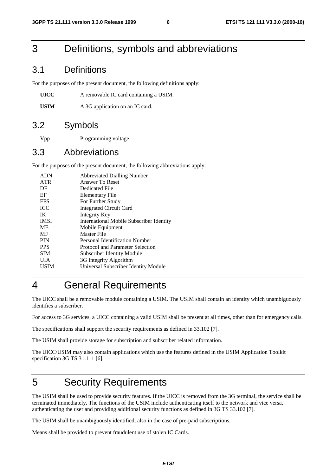### 3 Definitions, symbols and abbreviations

#### 3.1 Definitions

For the purposes of the present document, the following definitions apply:

**UICC** A removable IC card containing a USIM.

USIM A 3G application on an IC card.

#### 3.2 Symbols

Vpp Programming voltage

#### 3.3 Abbreviations

For the purposes of the present document, the following abbreviations apply:

| <b>ADN</b>  | <b>Abbreviated Dialling Number</b>              |
|-------------|-------------------------------------------------|
| <b>ATR</b>  | Answer To Reset                                 |
| DF          | Dedicated File                                  |
| EF          | Elementary File                                 |
| <b>FFS</b>  | For Further Study                               |
| <b>ICC</b>  | <b>Integrated Circuit Card</b>                  |
| IK          | Integrity Key                                   |
| <b>IMSI</b> | <b>International Mobile Subscriber Identity</b> |
| <b>ME</b>   | Mobile Equipment                                |
| MF          | <b>Master File</b>                              |
| <b>PIN</b>  | Personal Identification Number                  |
| <b>PPS</b>  | Protocol and Parameter Selection                |
| <b>SIM</b>  | Subscriber Identity Module                      |
| UIA         | 3G Integrity Algorithm                          |
| USIM        | Universal Subscriber Identity Module            |
|             |                                                 |

## 4 General Requirements

The UICC shall be a removable module containing a USIM. The USIM shall contain an identity which unambiguously identifies a subscriber.

For access to 3G services, a UICC containing a valid USIM shall be present at all times, other than for emergency calls.

The specifications shall support the security requirements as defined in 33.102 [7].

The USIM shall provide storage for subscription and subscriber related information.

The UICC/USIM may also contain applications which use the features defined in the USIM Application Toolkit specification 3G TS 31.111 [6].

### 5 Security Requirements

The USIM shall be used to provide security features. If the UICC is removed from the 3G terminal, the service shall be terminated immediately. The functions of the USIM include authenticating itself to the network and vice versa, authenticating the user and providing additional security functions as defined in 3G TS 33.102 [7].

The USIM shall be unambiguously identified, also in the case of pre-paid subscriptions.

Means shall be provided to prevent fraudulent use of stolen IC Cards.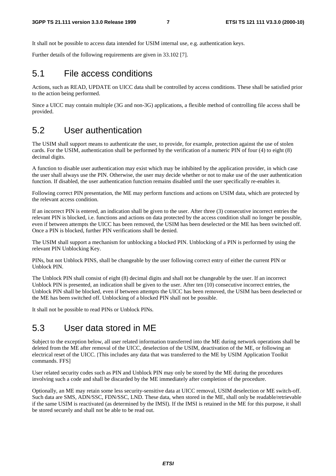It shall not be possible to access data intended for USIM internal use, e.g. authentication keys.

Further details of the following requirements are given in 33.102 [7].

#### 5.1 File access conditions

Actions, such as READ, UPDATE on UICC data shall be controlled by access conditions. These shall be satisfied prior to the action being performed.

Since a UICC may contain multiple (3G and non-3G) applications, a flexible method of controlling file access shall be provided.

#### 5.2 User authentication

The USIM shall support means to authenticate the user, to provide, for example, protection against the use of stolen cards. For the USIM, authentication shall be performed by the verification of a numeric PIN of four (4) to eight (8) decimal digits.

A function to disable user authentication may exist which may be inhibited by the application provider, in which case the user shall always use the PIN. Otherwise, the user may decide whether or not to make use of the user authentication function. If disabled, the user authentication function remains disabled until the user specifically re-enables it.

Following correct PIN presentation, the ME may perform functions and actions on USIM data, which are protected by the relevant access condition.

If an incorrect PIN is entered, an indication shall be given to the user. After three (3) consecutive incorrect entries the relevant PIN is blocked, i.e. functions and actions on data protected by the access condition shall no longer be possible, even if between attempts the UICC has been removed, the USIM has been deselected or the ME has been switched off. Once a PIN is blocked, further PIN verifications shall be denied.

The USIM shall support a mechanism for unblocking a blocked PIN. Unblocking of a PIN is performed by using the relevant PIN Unblocking Key.

PINs, but not Unblock PINS, shall be changeable by the user following correct entry of either the current PIN or Unblock PIN.

The Unblock PIN shall consist of eight (8) decimal digits and shall not be changeable by the user. If an incorrect Unblock PIN is presented, an indication shall be given to the user. After ten (10) consecutive incorrect entries, the Unblock PIN shall be blocked, even if between attempts the UICC has been removed, the USIM has been deselected or the ME has been switched off. Unblocking of a blocked PIN shall not be possible.

It shall not be possible to read PINs or Unblock PINs.

#### 5.3 User data stored in ME

Subject to the exception below, all user related information transferred into the ME during network operations shall be deleted from the ME after removal of the UICC, deselection of the USIM, deactivation of the ME, or following an electrical reset of the UICC. [This includes any data that was transferred to the ME by USIM Application Toolkit commands. FFS]

User related security codes such as PIN and Unblock PIN may only be stored by the ME during the procedures involving such a code and shall be discarded by the ME immediately after completion of the procedure.

Optionally, an ME may retain some less security-sensitive data at UICC removal, USIM deselection or ME switch-off. Such data are SMS, ADN/SSC, FDN/SSC, LND. These data, when stored in the ME, shall only be readable/retrievable if the same USIM is reactivated (as determined by the IMSI). If the IMSI is retained in the ME for this purpose, it shall be stored securely and shall not be able to be read out.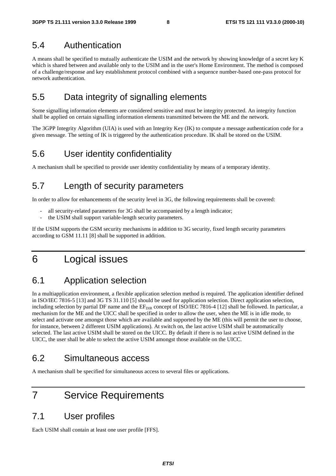#### 5.4 Authentication

A means shall be specified to mutually authenticate the USIM and the network by showing knowledge of a secret key K which is shared between and available only to the USIM and in the user's Home Environment. The method is composed of a challenge/response and key establishment protocol combined with a sequence number-based one-pass protocol for network authentication.

#### 5.5 Data integrity of signalling elements

Some signalling information elements are considered sensitive and must be integrity protected. An integrity function shall be applied on certain signalling information elements transmitted between the ME and the network.

The 3GPP Integrity Algorithm (UIA) is used with an Integrity Key (IK) to compute a message authentication code for a given message. The setting of IK is triggered by the authentication procedure. IK shall be stored on the USIM.

#### 5.6 User identity confidentiality

A mechanism shall be specified to provide user identity confidentiality by means of a temporary identity.

#### 5.7 Length of security parameters

In order to allow for enhancements of the security level in 3G, the following requirements shall be covered:

- all security-related parameters for 3G shall be accompanied by a length indicator;
- the USIM shall support variable-length security parameters.

If the USIM supports the GSM security mechanisms in addition to 3G security, fixed length security parameters according to GSM 11.11 [8] shall be supported in addition.

### 6 Logical issues

#### 6.1 Application selection

In a multiapplication environment, a flexible application selection method is required. The application identifier defined in ISO/IEC 7816-5 [13] and 3G TS 31.110 [5] should be used for application selection. Direct application selection, including selection by partial DF name and the  $EF_{\text{DIR}}$  concept of ISO/IEC 7816-4 [12] shall be followed. In particular, a mechanism for the ME and the UICC shall be specified in order to allow the user, when the ME is in idle mode, to select and activate one amongst those which are available and supported by the ME (this will permit the user to choose, for instance, between 2 different USIM applications). At switch on, the last active USIM shall be automatically selected. The last active USIM shall be stored on the UICC. By default if there is no last active USIM defined in the UICC, the user shall be able to select the active USIM amongst those available on the UICC.

#### 6.2 Simultaneous access

A mechanism shall be specified for simultaneous access to several files or applications.

### 7 Service Requirements

#### 7.1 User profiles

Each USIM shall contain at least one user profile [FFS].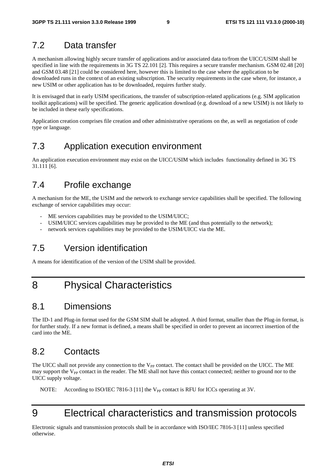#### 7.2 Data transfer

A mechanism allowing highly secure transfer of applications and/or associated data to/from the UICC/USIM shall be specified in line with the requirements in 3G TS 22.101 [2]. This requires a secure transfer mechanism. GSM 02.48 [20] and GSM 03.48 [21] could be considered here, however this is limited to the case where the application to be downloaded runs in the context of an existing subscription. The security requirements in the case where, for instance, a new USIM or other application has to be downloaded, requires further study.

It is envisaged that in early USIM specifications, the transfer of subscription-related applications (e.g. SIM application toolkit applications) will be specified. The generic application download (e.g. download of a new USIM) is not likely to be included in these early specifications.

Application creation comprises file creation and other administrative operations on the, as well as negotiation of code type or language.

#### 7.3 Application execution environment

An application execution environment may exist on the UICC/USIM which includes functionality defined in 3G TS 31.111 [6].

#### 7.4 Profile exchange

A mechanism for the ME, the USIM and the network to exchange service capabilities shall be specified. The following exchange of service capabilities may occur:

- ME services capabilities may be provided to the USIM/UICC;
- USIM/UICC services capabilities may be provided to the ME (and thus potentially to the network);
- network services capabilities may be provided to the USIM/UICC via the ME.

#### 7.5 Version identification

A means for identification of the version of the USIM shall be provided.

### 8 Physical Characteristics

#### 8.1 Dimensions

The ID-1 and Plug-in format used for the GSM SIM shall be adopted. A third format, smaller than the Plug-in format, is for further study. If a new format is defined, a means shall be specified in order to prevent an incorrect insertion of the card into the ME.

#### 8.2 Contacts

The UICC shall not provide any connection to the  $V_{PP}$  contact. The contact shall be provided on the UICC. The ME may support the  $V_{PP}$  contact in the reader. The ME shall not have this contact connected; neither to ground nor to the UICC supply voltage.

NOTE: According to ISO/IEC 7816-3 [11] the V<sub>PP</sub> contact is RFU for ICCs operating at 3V.

# 9 Electrical characteristics and transmission protocols

Electronic signals and transmission protocols shall be in accordance with ISO/IEC 7816-3 [11] unless specified otherwise.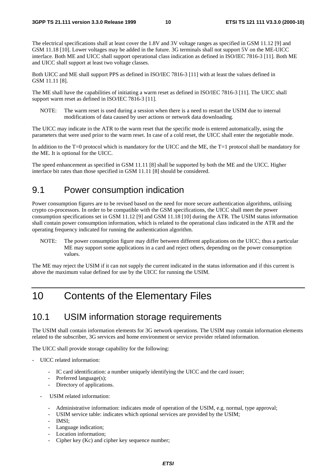The electrical specifications shall at least cover the 1.8V and 3V voltage ranges as specified in GSM 11.12 [9] and GSM 11.18 [10]. Lower voltages may be added in the future. 3G terminals shall not support 5V on the ME-UICC interface. Both ME and UICC shall support operational class indication as defined in ISO/IEC 7816-3 [11]. Both ME and UICC shall support at least two voltage classes.

Both UICC and ME shall support PPS as defined in ISO/IEC 7816-3 [11] with at least the values defined in GSM 11.11 [8].

The ME shall have the capabilities of initiating a warm reset as defined in ISO/IEC 7816-3 [11]. The UICC shall support warm reset as defined in ISO/IEC 7816-3 [11].

NOTE: The warm reset is used during a session when there is a need to restart the USIM due to internal modifications of data caused by user actions or network data downloading.

The UICC may indicate in the ATR to the warm reset that the specific mode is entered automatically, using the parameters that were used prior to the warm reset. In case of a cold reset, the UICC shall enter the negotiable mode.

In addition to the T=0 protocol which is mandatory for the UICC and the ME, the T=1 protocol shall be mandatory for the ME. It is optional for the UICC.

The speed enhancement as specified in GSM 11.11 [8] shall be supported by both the ME and the UICC. Higher interface bit rates than those specified in GSM 11.11 [8] should be considered.

#### 9.1 Power consumption indication

Power consumption figures are to be revised based on the need for more secure authentication algorithms, utilising crypto co-processors. In order to be compatible with the GSM specifications, the UICC shall meet the power consumption specifications set in GSM 11.12 [9] and GSM 11.18 [10] during the ATR. The USIM status information shall contain power consumption information, which is related to the operational class indicated in the ATR and the operating frequency indicated for running the authentication algorithm.

NOTE: The power consumption figure may differ between different applications on the UICC; thus a particular ME may support some applications in a card and reject others, depending on the power consumption values.

The ME may reject the USIM if it can not supply the current indicated in the status information and if this current is above the maximum value defined for use by the UICC for running the USIM.

### 10 Contents of the Elementary Files

#### 10.1 USIM information storage requirements

The USIM shall contain information elements for 3G network operations. The USIM may contain information elements related to the subscriber, 3G services and home environment or service provider related information.

The UICC shall provide storage capability for the following:

- UICC related information:
	- IC card identification: a number uniquely identifying the UICC and the card issuer;
	- Preferred language(s);
	- Directory of applications.
	- USIM related information:
		- Administrative information: indicates mode of operation of the USIM, e.g. normal, type approval;
		- USIM service table: indicates which optional services are provided by the USIM;
		- IMSI;
		- Language indication;
		- Location information;
		- Cipher key (Kc) and cipher key sequence number;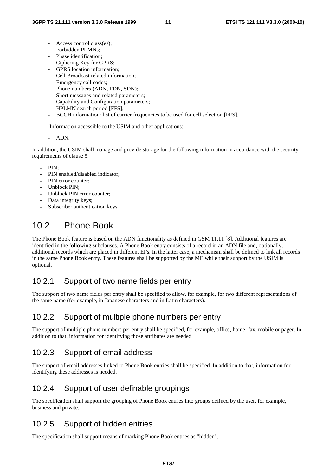- Access control class(es);
- Forbidden PLMNs;
- Phase identification;
- Ciphering Key for GPRS;
- GPRS location information;
- Cell Broadcast related information;
- Emergency call codes;
- Phone numbers (ADN, FDN, SDN);
- Short messages and related parameters;
- Capability and Configuration parameters;
- HPLMN search period [FFS];
- BCCH information: list of carrier frequencies to be used for cell selection [FFS].
- Information accessible to the USIM and other applications:

#### - ADN.

In addition, the USIM shall manage and provide storage for the following information in accordance with the security requirements of clause 5:

- PIN:
- PIN enabled/disabled indicator;
- PIN error counter:
- Unblock PIN;
- Unblock PIN error counter:
- Data integrity keys;
- Subscriber authentication keys.

### 10.2 Phone Book

The Phone Book feature is based on the ADN functionality as defined in GSM 11.11 [8]. Additional features are identified in the following subclauses. A Phone Book entry consists of a record in an ADN file and, optionally, additional records which are placed in different EFs. In the latter case, a mechanism shall be defined to link all records in the same Phone Book entry. These features shall be supported by the ME while their support by the USIM is optional.

#### 10.2.1 Support of two name fields per entry

The support of two name fields per entry shall be specified to allow, for example, for two different representations of the same name (for example, in Japanese characters and in Latin characters).

#### 10.2.2 Support of multiple phone numbers per entry

The support of multiple phone numbers per entry shall be specified, for example, office, home, fax, mobile or pager. In addition to that, information for identifying those attributes are needed.

#### 10.2.3 Support of email address

The support of email addresses linked to Phone Book entries shall be specified. In addition to that, information for identifying these addresses is needed.

#### 10.2.4 Support of user definable groupings

The specification shall support the grouping of Phone Book entries into groups defined by the user, for example, business and private.

#### 10.2.5 Support of hidden entries

The specification shall support means of marking Phone Book entries as "hidden".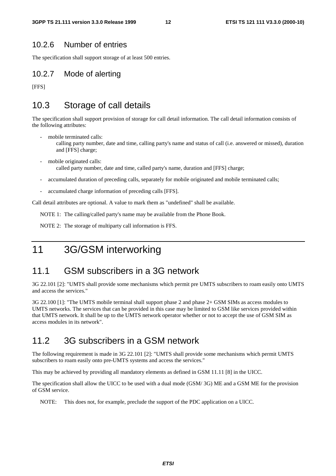#### 10.2.6 Number of entries

The specification shall support storage of at least 500 entries.

#### 10.2.7 Mode of alerting

[FFS]

#### 10.3 Storage of call details

The specification shall support provision of storage for call detail information. The call detail information consists of the following attributes:

- mobile terminated calls: calling party number, date and time, calling party's name and status of call (i.e. answered or missed), duration and [FFS] charge;
- mobile originated calls: called party number, date and time, called party's name, duration and [FFS] charge;
- accumulated duration of preceding calls, separately for mobile originated and mobile terminated calls;
- accumulated charge information of preceding calls [FFS].

Call detail attributes are optional. A value to mark them as "undefined" shall be available.

NOTE 1: The calling/called party's name may be available from the Phone Book.

NOTE 2: The storage of multiparty call information is FFS.

### 11 3G/GSM interworking

#### 11.1 GSM subscribers in a 3G network

3G 22.101 [2]: "UMTS shall provide some mechanisms which permit pre UMTS subscribers to roam easily onto UMTS and access the services."

3G 22.100 [1]: "The UMTS mobile terminal shall support phase 2 and phase 2+ GSM SIMs as access modules to UMTS networks. The services that can be provided in this case may be limited to GSM like services provided within that UMTS network. It shall be up to the UMTS network operator whether or not to accept the use of GSM SIM as access modules in its network".

#### 11.2 3G subscribers in a GSM network

The following requirement is made in 3G 22.101 [2]: "UMTS shall provide some mechanisms which permit UMTS subscribers to roam easily onto pre-UMTS systems and access the services."

This may be achieved by providing all mandatory elements as defined in GSM 11.11 [8] in the UICC.

The specification shall allow the UICC to be used with a dual mode (GSM/ 3G) ME and a GSM ME for the provision of GSM service.

NOTE: This does not, for example, preclude the support of the PDC application on a UICC.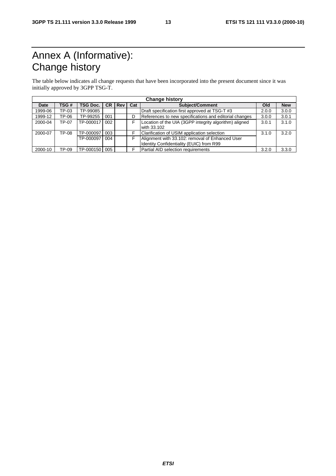# Annex A (Informative): Change history

The table below indicates all change requests that have been incorporated into the present document since it was initially approved by 3GPP TSG-T.

| <b>Change history</b> |       |           |     |          |     |                                                                                             |       |            |
|-----------------------|-------|-----------|-----|----------|-----|---------------------------------------------------------------------------------------------|-------|------------|
| Date                  | TSG#  | TSG Doc.  |     | $CR$ Rev | Cat | Subject/Comment                                                                             | Old   | <b>New</b> |
| 1999-06               | TP-03 | TP-99085  |     |          |     | Draft specification first approved at TSG-T #3                                              | 2.0.0 | 3.0.0      |
| 1999-12               | TP-06 | TP-99255  | 001 |          | D   | References to new specifications and editorial changes                                      | 3.0.0 | 3.0.1      |
| 2000-04               | TP-07 | TP-000017 | 002 |          |     | Location of the UIA (3GPP integrity algorithm) aligned<br>with 33.102                       | 3.0.1 | 3.1.0      |
| 2000-07               | TP-08 | TP-000097 | 003 |          |     | Clarification of USIM application selection                                                 | 3.1.0 | 3.2.0      |
|                       |       | TP-000097 | 004 |          |     | Alignment with 33.102: removal of Enhanced User<br>Identity Confidentiality (EUIC) from R99 |       |            |
| 2000-10               | TP-09 | TP-000150 | 005 |          |     | Partial AID selection requirements                                                          | 3.2.0 | 3.3.0      |